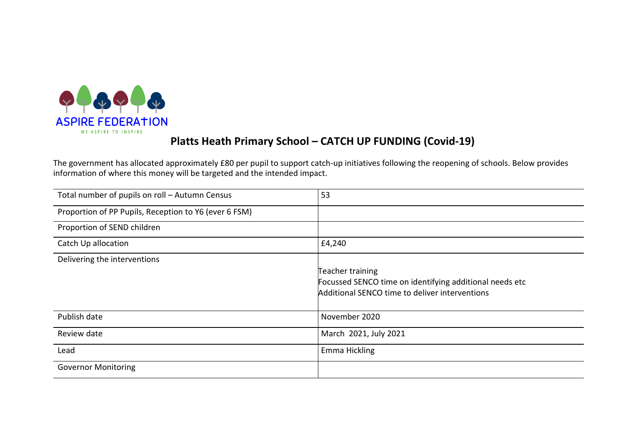

# Platts Heath Primary School – CATCH UP FUNDING (Covid-19)

The government has allocated approximately £80 per pupil to support catch-up initiatives following the reopening of schools. Below provides information of where this money will be targeted and the intended impact.

| Total number of pupils on roll - Autumn Census        | 53                                                      |
|-------------------------------------------------------|---------------------------------------------------------|
| Proportion of PP Pupils, Reception to Y6 (ever 6 FSM) |                                                         |
| Proportion of SEND children                           |                                                         |
| Catch Up allocation                                   | £4,240                                                  |
| Delivering the interventions                          |                                                         |
|                                                       | Teacher training                                        |
|                                                       | Focussed SENCO time on identifying additional needs etc |
|                                                       | Additional SENCO time to deliver interventions          |
| Publish date                                          | November 2020                                           |
| Review date                                           | March 2021, July 2021                                   |
| Lead                                                  | Emma Hickling                                           |
| <b>Governor Monitoring</b>                            |                                                         |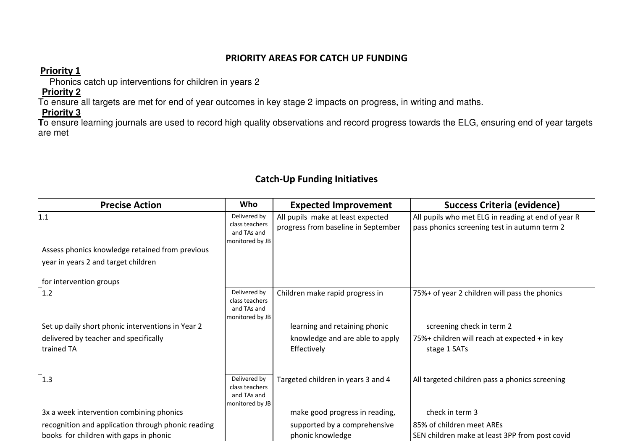#### PRIORITY AREAS FOR CATCH UP FUNDING

### Priority 1

Phonics catch up interventions for children in years 2

## **Priority 2**

To ensure all targets are met for end of year outcomes in key stage 2 impacts on progress, in writing and maths.

 **Priority 3 T**o ensure learning journals are used to record high quality observations and record progress towards the ELG, ensuring end of year targets are met

## Catch-Up Funding Initiatives

| <b>Precise Action</b>                               | Who                                                              | <b>Expected Improvement</b>                                              | <b>Success Criteria (evidence)</b>                                                                 |
|-----------------------------------------------------|------------------------------------------------------------------|--------------------------------------------------------------------------|----------------------------------------------------------------------------------------------------|
| 1.1                                                 | Delivered by<br>class teachers<br>and TAs and<br>monitored by JB | All pupils make at least expected<br>progress from baseline in September | All pupils who met ELG in reading at end of year R<br>pass phonics screening test in autumn term 2 |
| Assess phonics knowledge retained from previous     |                                                                  |                                                                          |                                                                                                    |
| year in years 2 and target children                 |                                                                  |                                                                          |                                                                                                    |
| for intervention groups                             |                                                                  |                                                                          |                                                                                                    |
| 1.2                                                 | Delivered by<br>class teachers<br>and TAs and<br>monitored by JB | Children make rapid progress in                                          | 75%+ of year 2 children will pass the phonics                                                      |
| Set up daily short phonic interventions in Year 2   |                                                                  | learning and retaining phonic                                            | screening check in term 2                                                                          |
| delivered by teacher and specifically<br>trained TA |                                                                  | knowledge and are able to apply<br>Effectively                           | 75%+ children will reach at expected + in key<br>stage 1 SATs                                      |
| $^{-}$ 1.3                                          | Delivered by<br>class teachers<br>and TAs and<br>monitored by JB | Targeted children in years 3 and 4                                       | All targeted children pass a phonics screening                                                     |
| 3x a week intervention combining phonics            |                                                                  | make good progress in reading,                                           | check in term 3                                                                                    |
| recognition and application through phonic reading  |                                                                  | supported by a comprehensive                                             | 85% of children meet AREs                                                                          |
| books for children with gaps in phonic              |                                                                  | phonic knowledge                                                         | SEN children make at least 3PP from post covid                                                     |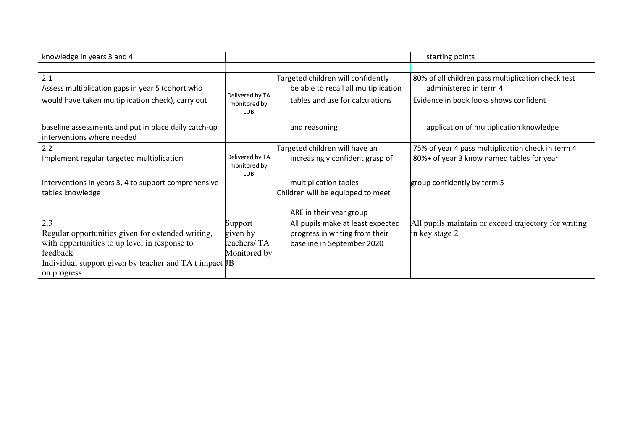| knowledge in years 3 and 4                                                                                   |                                               |                                                                                                               | starting points                                                                                                        |
|--------------------------------------------------------------------------------------------------------------|-----------------------------------------------|---------------------------------------------------------------------------------------------------------------|------------------------------------------------------------------------------------------------------------------------|
|                                                                                                              |                                               |                                                                                                               |                                                                                                                        |
| 2.1<br>Assess multiplication gaps in year 5 (cohort who<br>would have taken multiplication check), carry out | Delivered by TA<br>monitored by<br><b>LUB</b> | Targeted children will confidently<br>be able to recall all multiplication<br>tables and use for calculations | 80% of all children pass multiplication check test<br>administered in term 4<br>Evidence in book looks shows confident |
| baseline assessments and put in place daily catch-up<br>interventions where needed                           |                                               | and reasoning                                                                                                 | application of multiplication knowledge                                                                                |
| 2.2                                                                                                          |                                               | Targeted children will have an                                                                                | 75% of year 4 pass multiplication check in term 4                                                                      |
| Implement regular targeted multiplication                                                                    | Delivered by TA<br>monitored by<br><b>LUB</b> | increasingly confident grasp of                                                                               | 80%+ of year 3 know named tables for year                                                                              |
| interventions in years 3, 4 to support comprehensive                                                         |                                               | multiplication tables                                                                                         | group confidently by term 5                                                                                            |
| tables knowledge                                                                                             |                                               | Children will be equipped to meet                                                                             |                                                                                                                        |
|                                                                                                              |                                               | ARE in their year group                                                                                       |                                                                                                                        |
| 2.3                                                                                                          | Support                                       | All pupils make at least expected                                                                             | All pupils maintain or exceed trajectory for writing                                                                   |
| Regular opportunities given for extended writing,                                                            | given by                                      | progress in writing from their                                                                                | in key stage 2                                                                                                         |
| with opportunities to up level in response to                                                                | teachers/ TA                                  | baseline in September 2020                                                                                    |                                                                                                                        |
| feedback                                                                                                     | Monitored by                                  |                                                                                                               |                                                                                                                        |
| Individual support given by teacher and TA t impact JB<br>on progress                                        |                                               |                                                                                                               |                                                                                                                        |
|                                                                                                              |                                               |                                                                                                               |                                                                                                                        |